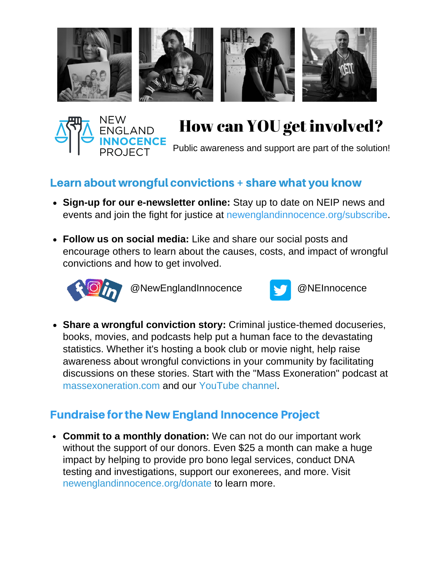



## How can YOU get involved?

Public awareness and support are part of the solution!

## Learn about wrongful convictions + share what you know

- **Sign-up for our e-newsletter online:** Stay up to date on NEIP news and events and join the fight for justice at [newenglandinnocence.org/subscribe.](http://www.newenglandinnocence.org/subscribe)
- **Follow us on social media:** Like and share our social posts and encourage others to learn about the causes, costs, and impact of wrongful convictions and how to get involved.



@NewEnglandInnocence @NEInnocence



**Share a wrongful conviction story:** Criminal justice-themed docuseries, books, movies, and podcasts help put a human face to the devastating statistics. Whether it's hosting a book club or movie night, help raise awareness about wrongful convictions in your community by facilitating discussions on these stories. Start with the "Mass Exoneration" podcast at [massexoneration.com](https://www.massexoneration.com/) and our [YouTube](https://www.youtube.com/channel/UCoh4hQbOfJMU6BYBifhnzcg/) channel.

## **Fundraise for the New England Innocence Project**

**Commit to a monthly donation:** We can not do our important work without the support of our donors. Even \$25 a month can make a huge impact by helping to provide pro bono legal services, conduct DNA testing and investigations, support our exonerees, and more. Visit [newenglandinnocence.org/donate](https://secure.actblue.com/donate/neip) to learn more.